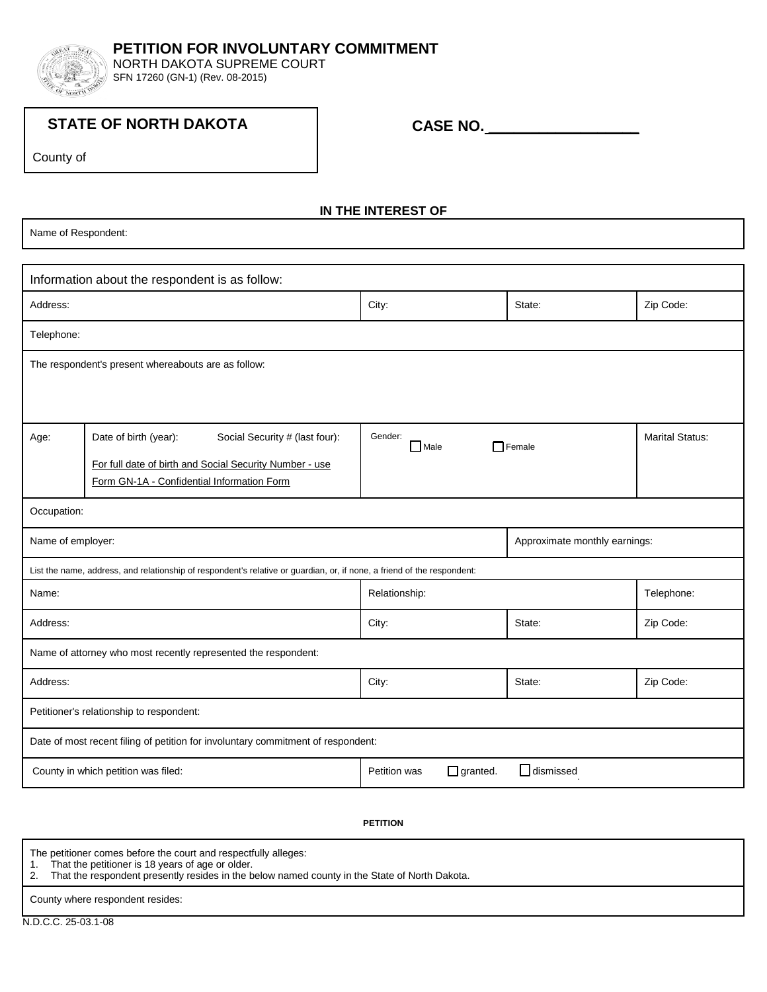

NORTH DAKOTA SUPREME COURT SFN 17260 (GN-1) (Rev. 08-2015)

## **STATE OF NORTH DAKOTA**

 **CASE NO. \_\_\_\_\_\_\_\_\_\_\_\_\_\_\_\_\_\_**

County of

## **IN THE INTEREST OF**

Name of Respondent:

| Information about the respondent is as follow:                                                                          |                                                         |                                 |                  |                        |  |  |
|-------------------------------------------------------------------------------------------------------------------------|---------------------------------------------------------|---------------------------------|------------------|------------------------|--|--|
| Address:                                                                                                                |                                                         | City:                           | State:           | Zip Code:              |  |  |
| Telephone:                                                                                                              |                                                         |                                 |                  |                        |  |  |
| The respondent's present whereabouts are as follow:                                                                     |                                                         |                                 |                  |                        |  |  |
|                                                                                                                         |                                                         |                                 |                  |                        |  |  |
| Age:                                                                                                                    | Social Security # (last four):<br>Date of birth (year): | Gender:<br>Male                 | $\Box$ Female    | <b>Marital Status:</b> |  |  |
|                                                                                                                         | For full date of birth and Social Security Number - use |                                 |                  |                        |  |  |
|                                                                                                                         | Form GN-1A - Confidential Information Form              |                                 |                  |                        |  |  |
| Occupation:                                                                                                             |                                                         |                                 |                  |                        |  |  |
| Name of employer:                                                                                                       |                                                         | Approximate monthly earnings:   |                  |                        |  |  |
| List the name, address, and relationship of respondent's relative or guardian, or, if none, a friend of the respondent: |                                                         |                                 |                  |                        |  |  |
| Name:                                                                                                                   |                                                         | Relationship:                   |                  | Telephone:             |  |  |
| Address:                                                                                                                |                                                         | City:                           | State:           | Zip Code:              |  |  |
| Name of attorney who most recently represented the respondent:                                                          |                                                         |                                 |                  |                        |  |  |
| Address:                                                                                                                |                                                         | City:                           | State:           | Zip Code:              |  |  |
| Petitioner's relationship to respondent:                                                                                |                                                         |                                 |                  |                        |  |  |
| Date of most recent filing of petition for involuntary commitment of respondent:                                        |                                                         |                                 |                  |                        |  |  |
|                                                                                                                         | County in which petition was filed:                     | $\Box$ granted.<br>Petition was | $\Box$ dismissed |                        |  |  |

## **PETITION**

The petitioner comes before the court and respectfully alleges:

1. That the petitioner is 18 years of age or older.

2. That the respondent presently resides in the below named county in the State of North Dakota.

County where respondent resides: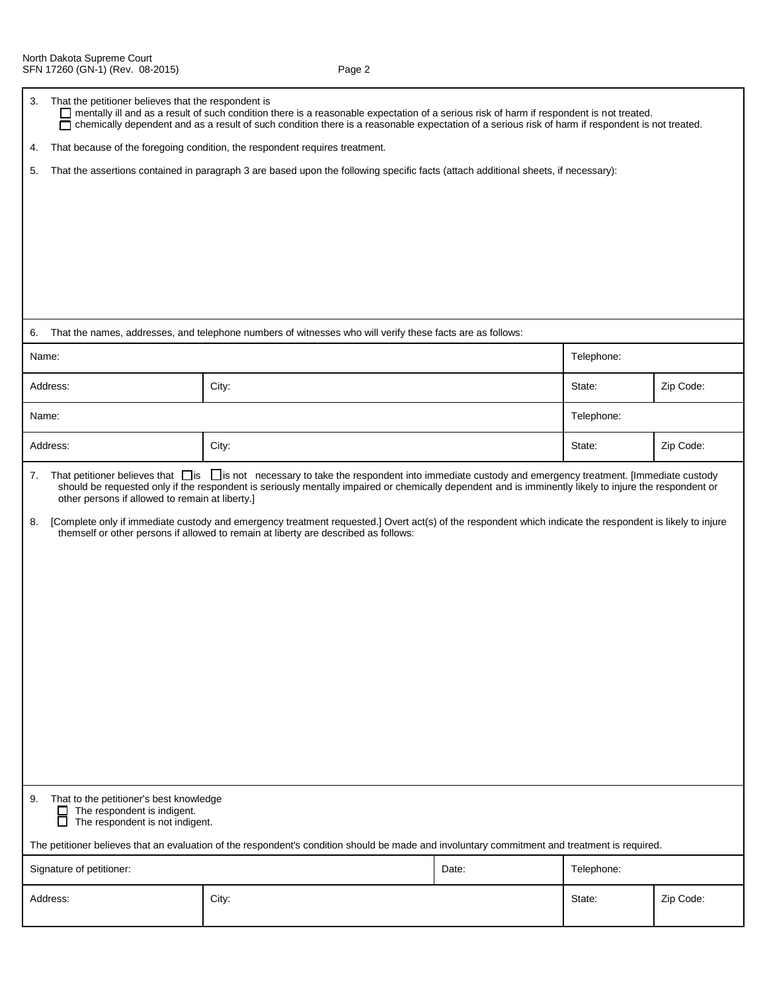| 3.                                                                                                                                            | That the petitioner believes that the respondent is<br>mentally ill and as a result of such condition there is a reasonable expectation of a serious risk of harm if respondent is not treated.<br>chemically dependent and as a result of such condition there is a reasonable expectation of a serious risk of harm if respondent is not treated.<br>П |                                                                                                                                                                                                                                                                                                                                                                                                                                                                                                                                                                        |       |            |           |  |  |
|-----------------------------------------------------------------------------------------------------------------------------------------------|----------------------------------------------------------------------------------------------------------------------------------------------------------------------------------------------------------------------------------------------------------------------------------------------------------------------------------------------------------|------------------------------------------------------------------------------------------------------------------------------------------------------------------------------------------------------------------------------------------------------------------------------------------------------------------------------------------------------------------------------------------------------------------------------------------------------------------------------------------------------------------------------------------------------------------------|-------|------------|-----------|--|--|
| 4.                                                                                                                                            | That because of the foregoing condition, the respondent requires treatment.                                                                                                                                                                                                                                                                              |                                                                                                                                                                                                                                                                                                                                                                                                                                                                                                                                                                        |       |            |           |  |  |
| 5.                                                                                                                                            |                                                                                                                                                                                                                                                                                                                                                          | That the assertions contained in paragraph 3 are based upon the following specific facts (attach additional sheets, if necessary):                                                                                                                                                                                                                                                                                                                                                                                                                                     |       |            |           |  |  |
|                                                                                                                                               |                                                                                                                                                                                                                                                                                                                                                          |                                                                                                                                                                                                                                                                                                                                                                                                                                                                                                                                                                        |       |            |           |  |  |
| 6.                                                                                                                                            |                                                                                                                                                                                                                                                                                                                                                          | That the names, addresses, and telephone numbers of witnesses who will verify these facts are as follows:                                                                                                                                                                                                                                                                                                                                                                                                                                                              |       |            |           |  |  |
|                                                                                                                                               | Name:                                                                                                                                                                                                                                                                                                                                                    |                                                                                                                                                                                                                                                                                                                                                                                                                                                                                                                                                                        |       | Telephone: |           |  |  |
|                                                                                                                                               | Address:                                                                                                                                                                                                                                                                                                                                                 | City:                                                                                                                                                                                                                                                                                                                                                                                                                                                                                                                                                                  |       | State:     | Zip Code: |  |  |
|                                                                                                                                               | Name:                                                                                                                                                                                                                                                                                                                                                    |                                                                                                                                                                                                                                                                                                                                                                                                                                                                                                                                                                        |       | Telephone: |           |  |  |
|                                                                                                                                               | Address:                                                                                                                                                                                                                                                                                                                                                 | City:                                                                                                                                                                                                                                                                                                                                                                                                                                                                                                                                                                  |       | State:     | Zip Code: |  |  |
| 7.<br>8.                                                                                                                                      | other persons if allowed to remain at liberty.]                                                                                                                                                                                                                                                                                                          | That petitioner believes that $\Box$ is $\Box$ is not necessary to take the respondent into immediate custody and emergency treatment. [Immediate custody<br>should be requested only if the respondent is seriously mentally impaired or chemically dependent and is imminently likely to injure the respondent or<br>[Complete only if immediate custody and emergency treatment requested.] Overt act(s) of the respondent which indicate the respondent is likely to injure<br>themself or other persons if allowed to remain at liberty are described as follows: |       |            |           |  |  |
| 9.                                                                                                                                            | That to the petitioner's best knowledge<br>The respondent is indigent.<br>□<br>The respondent is not indigent.<br>□                                                                                                                                                                                                                                      |                                                                                                                                                                                                                                                                                                                                                                                                                                                                                                                                                                        |       |            |           |  |  |
| The petitioner believes that an evaluation of the respondent's condition should be made and involuntary commitment and treatment is required. |                                                                                                                                                                                                                                                                                                                                                          |                                                                                                                                                                                                                                                                                                                                                                                                                                                                                                                                                                        |       |            |           |  |  |
| Signature of petitioner:                                                                                                                      |                                                                                                                                                                                                                                                                                                                                                          |                                                                                                                                                                                                                                                                                                                                                                                                                                                                                                                                                                        | Date: | Telephone: |           |  |  |
| Address:                                                                                                                                      |                                                                                                                                                                                                                                                                                                                                                          | City:                                                                                                                                                                                                                                                                                                                                                                                                                                                                                                                                                                  |       | State:     | Zip Code: |  |  |